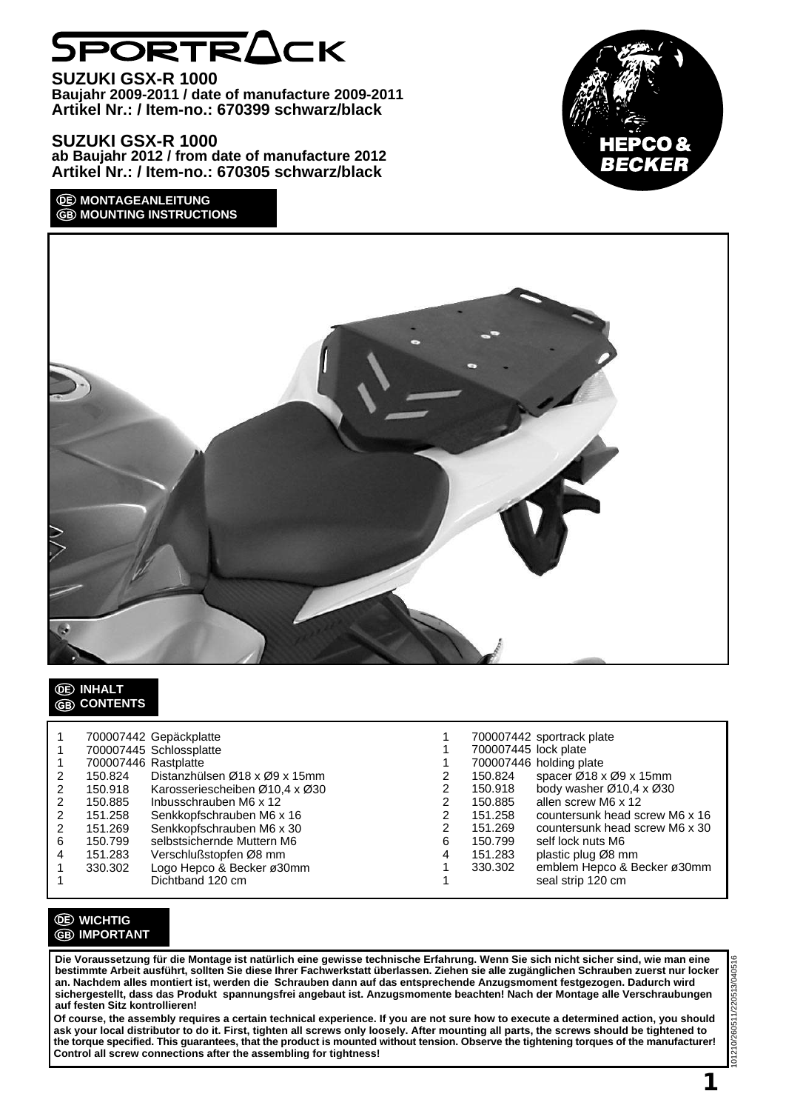# SPORTRACK

**SUZUKI GSX-R 1000 Baujahr 2009-2011 / date of manufacture 2009-2011 Artikel Nr.: / Item-no.: 670399 schwarz/black**

**SUZUKI GSX-R 1000 ab Baujahr 2012 / from date of manufacture 2012 Artikel Nr.: / Item-no.: 670305 schwarz/black**

## *O***E MONTAGEANLEITUNG GB MOUNTING INSTRUCTIONS**





# **INHALT CONTENTS**

|   |                      | 700007442 Gepäckplatte         |   |                      | 700007442 sportrack plate      |
|---|----------------------|--------------------------------|---|----------------------|--------------------------------|
|   |                      |                                |   |                      |                                |
|   |                      | 700007445 Schlossplatte        |   | 700007445 lock plate |                                |
|   | 700007446 Rastplatte |                                |   |                      | 700007446 holding plate        |
|   | 150.824              | Distanzhülsen Ø18 x Ø9 x 15mm  |   | 150.824              | spacer Ø18 x Ø9 x 15mm         |
|   | 150.918              | Karosseriescheiben Ø10,4 x Ø30 |   | 150.918              | body washer Ø10,4 x Ø30        |
|   | 150.885              | Inbusschrauben M6 x 12         |   | 150.885              | allen screw M6 x 12            |
|   | 151.258              | Senkkopfschrauben M6 x 16      |   | 151.258              | countersunk head screw M6 x 16 |
| 2 | 151.269              | Senkkopfschrauben M6 x 30      |   | 151.269              | countersunk head screw M6 x 30 |
| 6 | 150.799              | selbstsichernde Muttern M6     | 6 | 150.799              | self lock nuts M6              |
| 4 | 151.283              | Verschlußstopfen Ø8 mm         | 4 | 151.283              | plastic plug Ø8 mm             |
|   | 330.302              | Logo Hepco & Becker ø30mm      |   | 330.302              | emblem Hepco & Becker ø30mm    |
|   |                      | Dichtband 120 cm               |   |                      | seal strip 120 cm              |

# **WICHTIG GB** IMPORTANT

**Die Voraussetzung für die Montage ist natürlich eine gewisse technische Erfahrung. Wenn Sie sich nicht sicher sind, wie man eine bestimmte Arbeit ausführt, sollten Sie diese Ihrer Fachwerkstatt überlassen. Ziehen sie alle zugänglichen Schrauben zuerst nur locker an. Nachdem alles montiert ist, werden die Schrauben dann auf das entsprechende Anzugsmoment festgezogen. Dadurch wird sichergestellt, dass das Produkt spannungsfrei angebaut ist. Anzugsmomente beachten! Nach der Montage alle Verschraubungen auf festen Sitz kontrollieren!**

**Of course, the assembly requires a certain technical experience. If you are not sure how to execute a determined action, you should ask your local distributor to do it. First, tighten all screws only loosely. After mounting all parts, the screws should be tightened to the torque specified. This guarantees, that the product is mounted without tension. Observe the tightening torques of the manufacturer! Control all screw connections after the assembling for tightness!**

**1**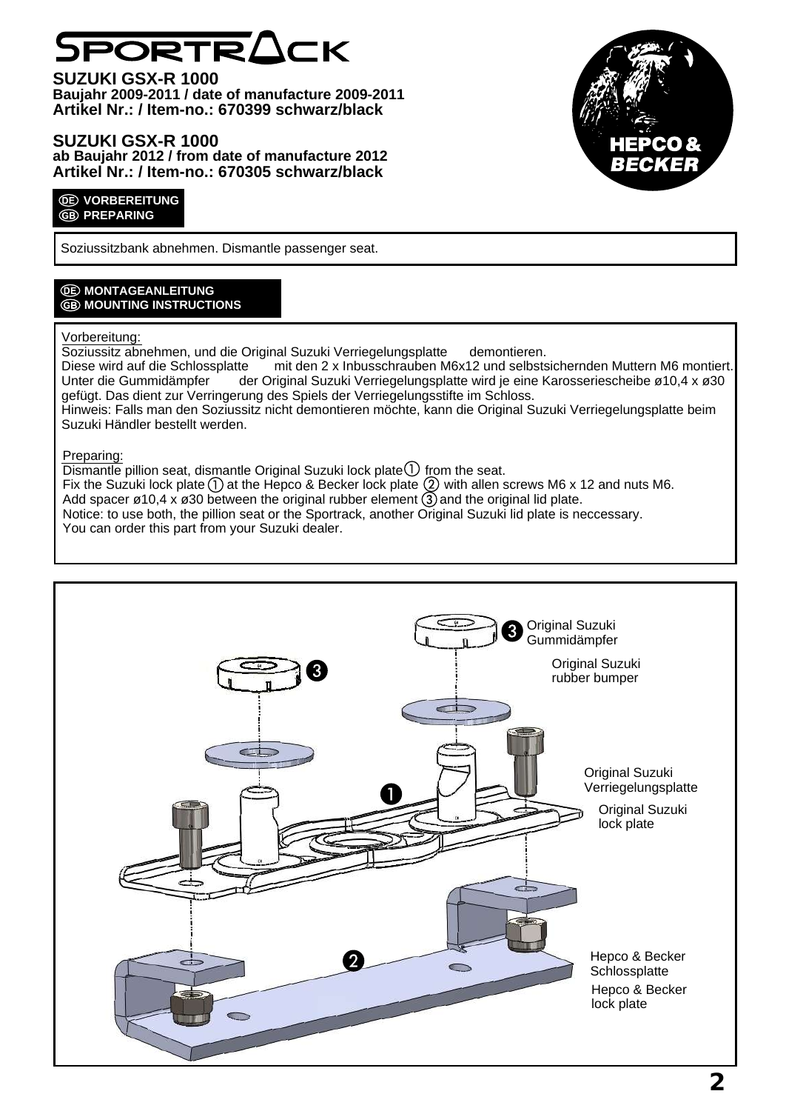# PORTRACK

**SUZUKI GSX-R 1000 Baujahr 2009-2011 / date of manufacture 2009-2011 Artikel Nr.: / Item-no.: 670399 schwarz/black**

# **SUZUKI GSX-R 1000 ab Baujahr 2012 / from date of manufacture 2012 Artikel Nr.: / Item-no.: 670305 schwarz/black**

### *<u>OE* VORBEREITUNG</u> **GB PREPARING**

Soziussitzbank abnehmen. Dismantle passenger seat.

# *<b>OE* MONTAGEANLEITUNG **GB MOUNTING INSTRUCTIONS**

## Vorbereitung:

Soziussitz abnehmen, und die Original Suzuki Verriegelungsplatte demontieren. Diese wird auf die Schlossplatte mit den 2 x Inbusschrauben M6x12 und selbstsichernden Muttern M6 montiert.<br>Unter die Gummidämpfer der Original Suzuki Verriegelungsplatte wird je eine Karosseriescheibe ø10.4 x ø30 der Original Suzuki Verriegelungsplatte wird je eine Karosseriescheibe ø10,4 x ø30 gefügt. Das dient zur Verringerung des Spiels der Verriegelungsstifte im Schloss. Hinweis: Falls man den Soziussitz nicht demontieren möchte, kann die Original Suzuki Verriegelungsplatte beim Suzuki Händler bestellt werden.

## Preparing:

Dismantle pillion seat, dismantle Original Suzuki lock plate  $\left( \bigcup_{n=1}^{\infty} \mathfrak{f}_{n} \right)$  from the seat.

Fix the Suzuki lock plate (1) at the Hepco & Becker lock plate (2) with allen screws M6 x 12 and nuts M6.

Add spacer ø10,4 x ø30 between the original rubber element (3) and the original lid plate.

Notice: to use both, the pillion seat or the Sportrack, another Original Suzuki lid plate is neccessary. You can order this part from your Suzuki dealer.



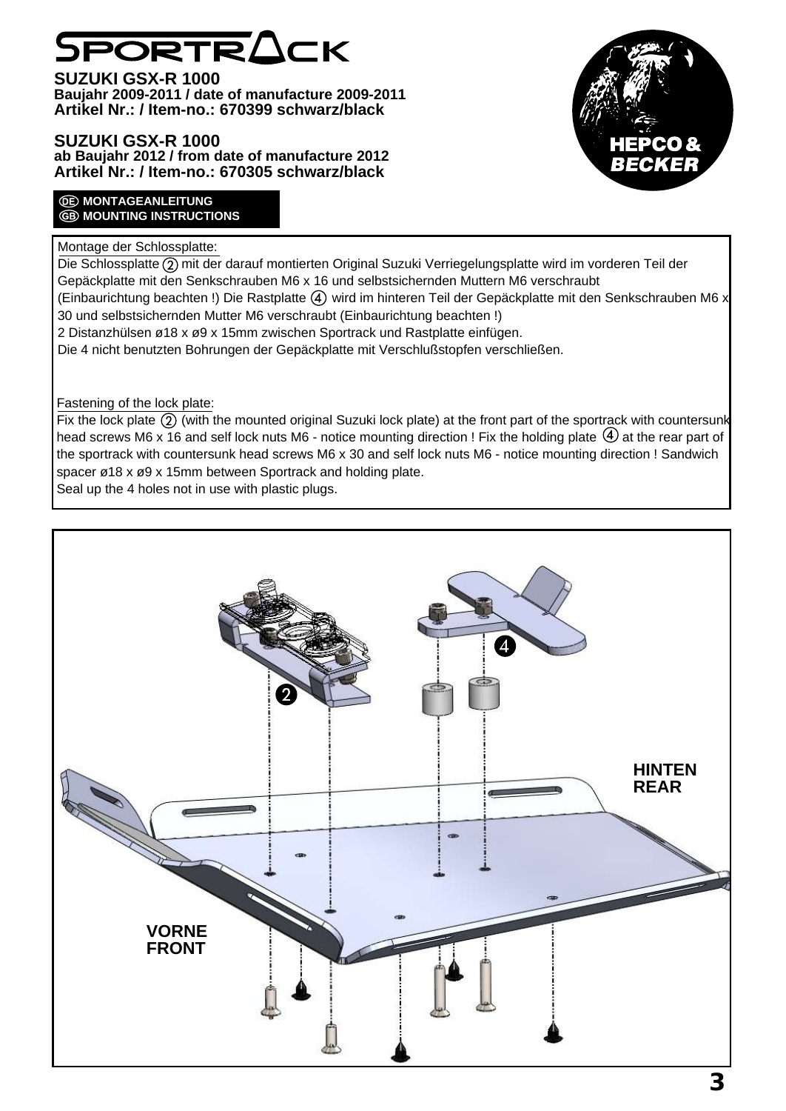# PORTRACK

**SUZUKI GSX-R 1000 Baujahr 2009-2011 / date of manufacture 2009-2011 Artikel Nr.: / Item-no.: 670399 schwarz/black**

# **SUZUKI GSX-R 1000 ab Baujahr 2012 / from date of manufacture 2012 Artikel Nr.: / Item-no.: 670305 schwarz/black**

# :CKEI

## *<u>OE MONTAGEANLEITUNG</u>* **GB MOUNTING INSTRUCTIONS**

# Montage der Schlossplatte:

Die Schlossplatte  $\overline{2}$ ) mit der darauf montierten Original Suzuki Verriegelungsplatte wird im vorderen Teil der Gepäckplatte mit den Senkschrauben M6 x 16 und selbstsichernden Muttern M6 verschraubt (Einbaurichtung beachten !) Die Rastplatte  $\overline{4}$ ) wird im hinteren Teil der Gepäckplatte mit den Senkschrauben M6 x 30 und selbstsichernden Mutter M6 verschraubt (Einbaurichtung beachten !) 2 Distanzhülsen ø18 x ø9 x 15mm zwischen Sportrack und Rastplatte einfügen. Die 4 nicht benutzten Bohrungen der Gepäckplatte mit Verschlußstopfen verschließen.

Fastening of the lock plate:

Fix the lock plate  $(2)$  (with the mounted original Suzuki lock plate) at the front part of the sportrack with countersunk head screws M6 x 16 and self lock nuts M6 - notice mounting direction ! Fix the holding plate  $\overline{4}$  at the rear part of the sportrack with countersunk head screws M6 x 30 and self lock nuts M6 - notice mounting direction ! Sandwich spacer ø18 x ø9 x 15mm between Sportrack and holding plate.

Seal up the 4 holes not in use with plastic plugs.